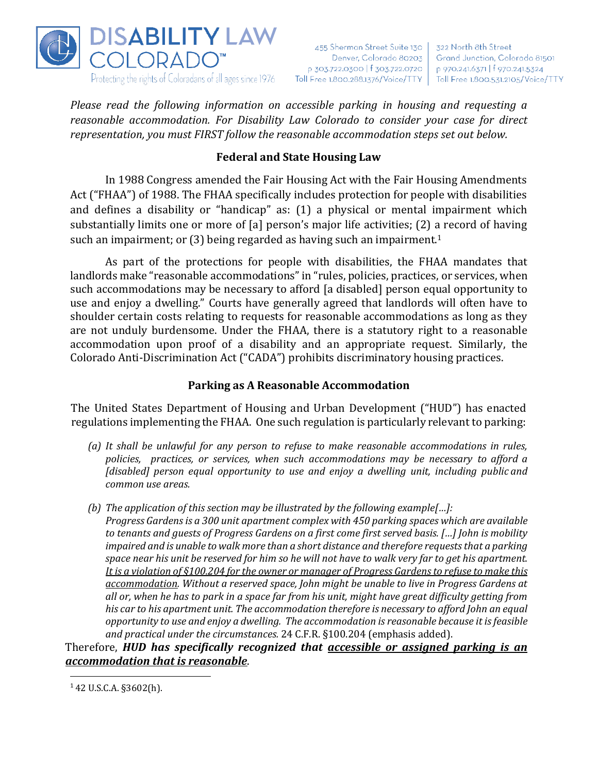

455 Sherman Street Suite 130 Denver, Colorado 80203 p 303.722.0300 | f 303.722.0720 | Toll Free 1.800.288.1376/Voice/TTY | Toll Free 1.800.531.2105/Voice/TTY

322 North 8th Street Grand Junction, Colorado 81501 p 970.241.6371 | f 970.241.5324

*Please read the following information on accessible parking in housing and requesting a reasonable accommodation. For Disability Law Colorado to consider your case for direct representation, you must FIRST follow the reasonable accommodation steps set out below.*

## **Federal and State Housing Law**

In 1988 Congress amended the Fair Housing Act with the Fair Housing Amendments Act ("FHAA") of 1988. The FHAA specifically includes protection for people with disabilities and defines a disability or "handicap" as: (1) a physical or mental impairment which substantially limits one or more of [a] person's major life activities; (2) a record of having such an impairment; or (3) being regarded as having such an impairment.<sup>1</sup>

As part of the protections for people with disabilities, the FHAA mandates that landlords make "reasonable accommodations" in "rules, policies, practices, or services, when such accommodations may be necessary to afford [a disabled] person equal opportunity to use and enjoy a dwelling." Courts have generally agreed that landlords will often have to shoulder certain costs relating to requests for reasonable accommodations as long as they are not unduly burdensome. Under the FHAA, there is a statutory right to a reasonable accommodation upon proof of a disability and an appropriate request. Similarly, the Colorado Anti-Discrimination Act ("CADA") prohibits discriminatory housing practices.

## **Parking as A Reasonable Accommodation**

The United States Department of Housing and Urban Development ("HUD") has enacted regulations implementing the FHAA. One such regulation is particularly relevant to parking:

- *(a) It shall be unlawful for any person to refuse to make reasonable accommodations in rules, policies, practices, or services, when such accommodations may be necessary to afford a [disabled] person equal opportunity to use and enjoy a dwelling unit, including public and common use areas.*
- *(b) The application of this section may be illustrated by the following example[…]: Progress Gardens is a 300 unit apartment complex with 450 parking spaces which are available to tenants and guests of Progress Gardens on a first come first served basis. […] John is mobility impaired and is unable to walk more than a short distance and therefore requeststhat a parking* space near his unit be reserved for him so he will not have to walk very far to get his apartment. *It is a violation of §100.204 for the owner or manager of Progress Gardensto refuse to make this accommodation. Without a reserved space, John might be unable to live in Progress Gardens at all or, when he has to park in a space far from his unit, might have great difficulty getting from his car to his apartment unit. The accommodation therefore is necessary to afford John an equal opportunity to use and enjoy a dwelling. The accommodation is reasonable because it isfeasible and practical under the circumstances.* 24 C.F.R. §100.204 (emphasis added).

Therefore, *HUD has specifically recognized that accessible or assigned parking is an accommodation that is reasonable*.

 $142$  U.S.C.A. §3602(h).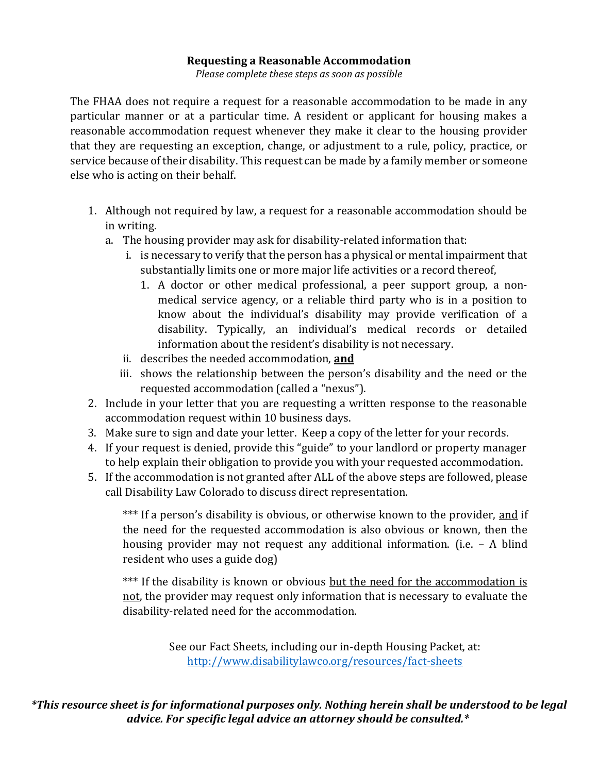#### **Requesting a Reasonable Accommodation**

*Please complete these steps as soon as possible*

The FHAA does not require a request for a reasonable accommodation to be made in any particular manner or at a particular time. A resident or applicant for housing makes a reasonable accommodation request whenever they make it clear to the housing provider that they are requesting an exception, change, or adjustment to a rule, policy, practice, or service because of their disability. This request can be made by a family member or someone else who is acting on their behalf.

- 1. Although not required by law, a request for a reasonable accommodation should be in writing.
	- a. The housing provider may ask for disability-related information that:
		- i. is necessary to verify that the person has a physical or mental impairment that substantially limits one or more major life activities or a record thereof,
			- 1. A doctor or other medical professional, a peer support group, a nonmedical service agency, or a reliable third party who is in a position to know about the individual's disability may provide verification of a disability. Typically, an individual's medical records or detailed information about the resident's disability is not necessary.
		- ii. describes the needed accommodation, **and**
		- iii. shows the relationship between the person's disability and the need or the requested accommodation (called a "nexus").
- 2. Include in your letter that you are requesting a written response to the reasonable accommodation request within 10 business days.
- 3. Make sure to sign and date your letter. Keep a copy of the letter for your records.
- 4. If your request is denied, provide this "guide" to your landlord or property manager to help explain their obligation to provide you with your requested accommodation.
- 5. If the accommodation is not granted after ALL of the above steps are followed, please call Disability Law Colorado to discuss direct representation.

\*\*\* If a person's disability is obvious, or otherwise known to the provider, and if the need for the requested accommodation is also obvious or known, then the housing provider may not request any additional information. (i.e. – A blind resident who uses a guide dog)

\*\*\* If the disability is known or obvious but the need for the accommodation is not, the provider may request only information that is necessary to evaluate the disability-related need for the accommodation.

> See our Fact Sheets, including our in-depth Housing Packet, at: <http://www.disabilitylawco.org/resources/fact-sheets>

*\*This resource sheet is for informational purposes only. Nothing herein shall be understood to be legal advice. For specific legal advice an attorney should be consulted.\**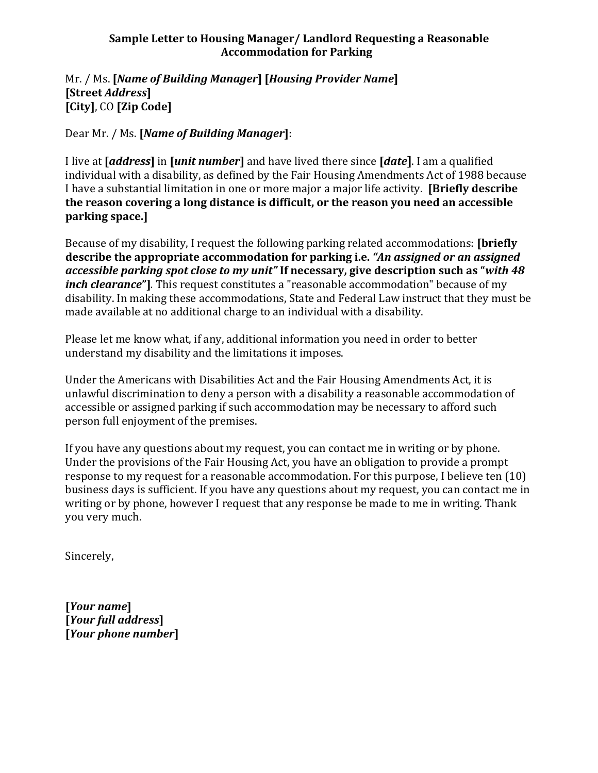## **Sample Letter to Housing Manager/ Landlord Requesting a Reasonable Accommodation for Parking**

#### Mr. / Ms. **[***Name of Building Manager***] [***Housing Provider Name***] [Street** *Address***] [City]**, CO **[Zip Code]**

Dear Mr. / Ms. **[***Name of Building Manager***]**:

I live at **[***address***]** in **[***unit number***]** and have lived there since **[***date***]**. I am a qualified individual with a disability, as defined by the Fair Housing Amendments Act of 1988 because I have a substantial limitation in one or more major a major life activity. **[Briefly describe the reason covering a long distance is difficult, or the reason you need an accessible parking space.]**

Because of my disability, I request the following parking related accommodations: **[briefly describe the appropriate accommodation for parking i.e.** *"An assigned or an assigned accessible parking spot close to my unit"* **If necessary, give description such as "***with 48 inch clearance***"]***.* This request constitutes a "reasonable accommodation" because of my disability. In making these accommodations, State and Federal Law instruct that they must be made available at no additional charge to an individual with a disability.

Please let me know what, if any, additional information you need in order to better understand my disability and the limitations it imposes.

Under the Americans with Disabilities Act and the Fair Housing Amendments Act, it is unlawful discrimination to deny a person with a disability a reasonable accommodation of accessible or assigned parking if such accommodation may be necessary to afford such person full enjoyment of the premises.

If you have any questions about my request, you can contact me in writing or by phone. Under the provisions of the Fair Housing Act, you have an obligation to provide a prompt response to my request for a reasonable accommodation. For this purpose, I believe ten (10) business days is sufficient. If you have any questions about my request, you can contact me in writing or by phone, however I request that any response be made to me in writing. Thank you very much.

Sincerely,

**[***Your name***] [***Your full address***] [***Your phone number***]**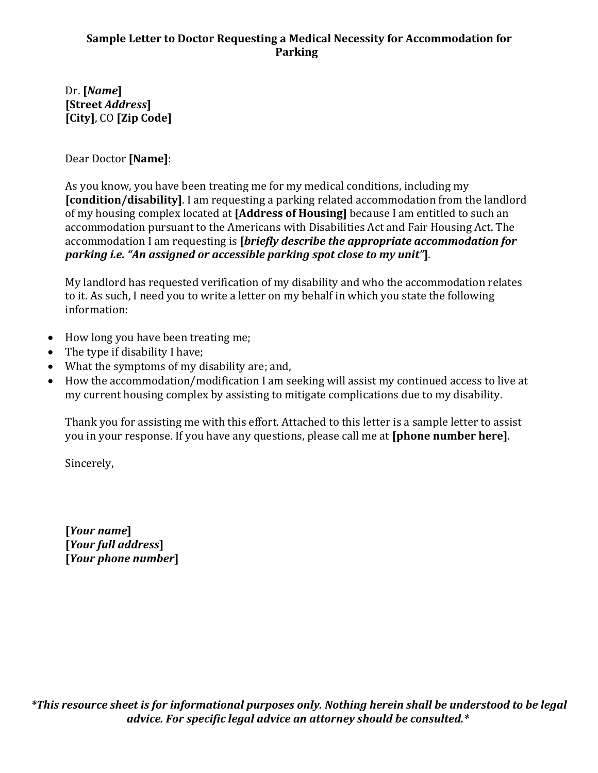## **Sample Letter to Doctor Requesting a Medical Necessity for Accommodation for Parking**

Dr. **[***Name***] [Street** *Address***] [City]**, CO **[Zip Code]**

Dear Doctor **[Name]**:

As you know, you have been treating me for my medical conditions, including my **[condition/disability]**. I am requesting a parking related accommodation from the landlord of my housing complex located at **[Address of Housing]** because I am entitled to such an accommodation pursuant to the Americans with Disabilities Act and Fair Housing Act. The accommodation I am requesting is **[***briefly describe the appropriate accommodation for parking i.e. "An assigned or accessible parking spot close to my unit"***]**.

My landlord has requested verification of my disability and who the accommodation relates to it. As such, I need you to write a letter on my behalf in which you state the following information:

- How long you have been treating me;
- The type if disability I have;
- What the symptoms of my disability are; and,
- How the accommodation/modification I am seeking will assist my continued access to live at my current housing complex by assisting to mitigate complications due to my disability.

Thank you for assisting me with this effort. Attached to this letter is a sample letter to assist you in your response. If you have any questions, please call me at **[phone number here]**.

Sincerely,

**[***Your name***] [***Your full address***] [***Your phone number***]**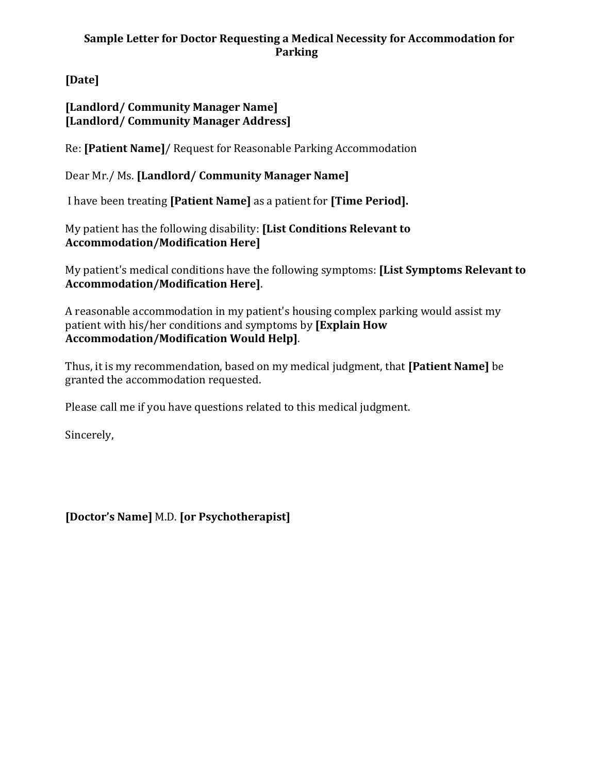# **Sample Letter for Doctor Requesting a Medical Necessity for Accommodation for Parking**

**[Date]**

**[Landlord/ Community Manager Name] [Landlord/ Community Manager Address]**

Re: **[Patient Name]**/ Request for Reasonable Parking Accommodation

Dear Mr./ Ms. **[Landlord/ Community Manager Name]**

I have been treating **[Patient Name]** as a patient for **[Time Period].**

My patient has the following disability: **[List Conditions Relevant to Accommodation/Modification Here]**

My patient's medical conditions have the following symptoms: **[List Symptoms Relevant to Accommodation/Modification Here]**.

A reasonable accommodation in my patient's housing complex parking would assist my patient with his/her conditions and symptoms by **[Explain How Accommodation/Modification Would Help]**.

Thus, it is my recommendation, based on my medical judgment, that **[Patient Name]** be granted the accommodation requested.

Please call me if you have questions related to this medical judgment.

Sincerely,

**[Doctor's Name]** M.D. **[or Psychotherapist]**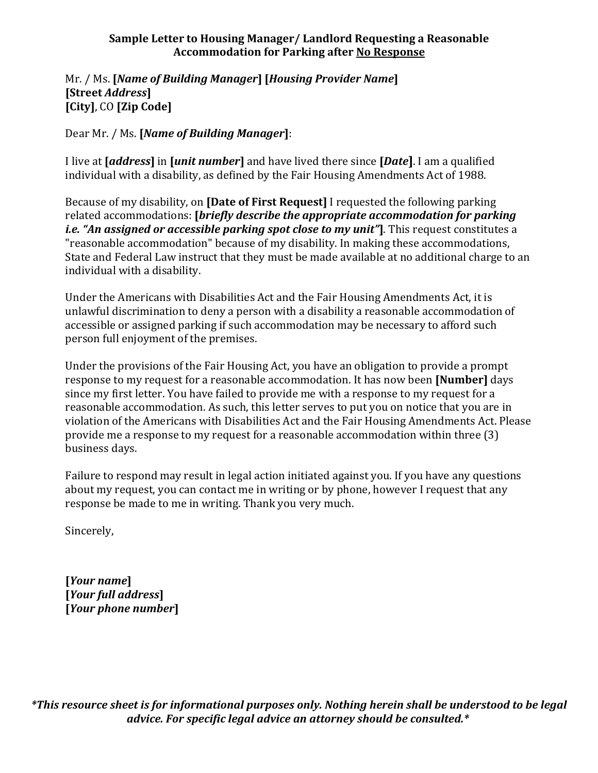## **Sample Letter to Housing Manager/ Landlord Requesting a Reasonable Accommodation for Parking after No Response**

## Mr. / Ms. **[***Name of Building Manager***] [***Housing Provider Name***] [Street** *Address***] [City]**, CO **[Zip Code]**

Dear Mr. / Ms. **[***Name of Building Manager***]**:

I live at **[***address***]** in **[***unit number***]** and have lived there since **[***Date***]**. I am a qualified individual with a disability, as defined by the Fair Housing Amendments Act of 1988.

Because of my disability, on **[Date of First Request]** I requested the following parking related accommodations: **[***briefly describe the appropriate accommodation for parking i.e. "An assigned or accessible parking spot close to my unit"***]**. This request constitutes a "reasonable accommodation" because of my disability. In making these accommodations, State and Federal Law instruct that they must be made available at no additional charge to an individual with a disability.

Under the Americans with Disabilities Act and the Fair Housing Amendments Act, it is unlawful discrimination to deny a person with a disability a reasonable accommodation of accessible or assigned parking if such accommodation may be necessary to afford such person full enjoyment of the premises.

Under the provisions of the Fair Housing Act, you have an obligation to provide a prompt response to my request for a reasonable accommodation. It has now been **[Number]** days since my first letter. You have failed to provide me with a response to my request for a reasonable accommodation. As such, this letter serves to put you on notice that you are in violation of the Americans with Disabilities Act and the Fair Housing Amendments Act. Please provide me a response to my request for a reasonable accommodation within three (3) business days.

Failure to respond may result in legal action initiated against you. If you have any questions about my request, you can contact me in writing or by phone, however I request that any response be made to me in writing. Thank you very much.

Sincerely,

**[***Your name***] [***Your full address***] [***Your phone number***]**

*\*This resource sheet is for informational purposes only. Nothing herein shall be understood to be legal advice. For specific legal advice an attorney should be consulted.\**